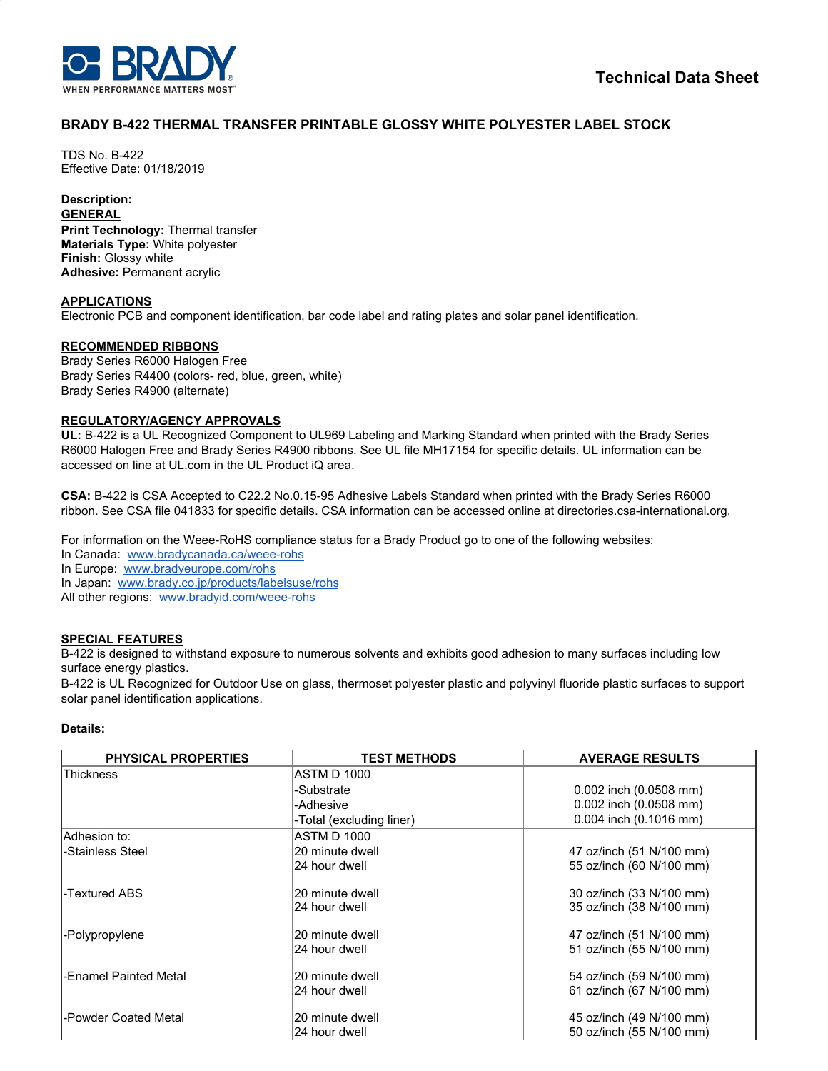

# **BRADY B-422 THERMAL TRANSFER PRINTABLE GLOSSY WHITE POLYESTER LABEL STOCK**

TDS No. B-422 Effective Date: 01/18/2019

# **Description:**

**GENERAL**

**Print Technology:** Thermal transfer **Materials Type:** White polyester **Finish:** Glossy white **Adhesive:** Permanent acrylic

## **APPLICATIONS**

Electronic PCB and component identification, bar code label and rating plates and solar panel identification.

## **RECOMMENDED RIBBONS**

Brady Series R6000 Halogen Free Brady Series R4400 (colors- red, blue, green, white) Brady Series R4900 (alternate)

#### **REGULATORY/AGENCY APPROVALS**

**UL:** B-422 is a UL Recognized Component to UL969 Labeling and Marking Standard when printed with the Brady Series R6000 Halogen Free and Brady Series R4900 ribbons. See UL file MH17154 for specific details. UL information can be accessed on line at UL.com in the UL Product iQ area.

**CSA:** B-422 is CSA Accepted to C22.2 No.0.15-95 Adhesive Labels Standard when printed with the Brady Series R6000 ribbon. See CSA file 041833 for specific details. CSA information can be accessed online at directories.csa-international.org.

For information on the Weee-RoHS compliance status for a Brady Product go to one of the following websites:

In Canada: [www.bradycanada.ca/weee-rohs](http://www.bradycanada.ca/weee-rohs)

In Europe: [www.bradyeurope.com/rohs](http://www.bradyeurope.com/rohs)

In Japan: www.[brady.co.jp/products/labelsuse/rohs](https://brady.co.jp/products/labelsuse/rohs)

All other regions: [www.bradyid.com/weee-rohs](http://www.bradyid.com/weee-rohs)

# **SPECIAL FEATURES**

B-422 is designed to withstand exposure to numerous solvents and exhibits good adhesion to many surfaces including low surface energy plastics.

B-422 is UL Recognized for Outdoor Use on glass, thermoset polyester plastic and polyvinyl fluoride plastic surfaces to support solar panel identification applications.

#### **Details:**

| <b>PHYSICAL PROPERTIES</b> | <b>TEST METHODS</b>      | <b>AVERAGE RESULTS</b>     |
|----------------------------|--------------------------|----------------------------|
| <b>Thickness</b>           | ASTM D 1000              |                            |
|                            | -Substrate               | $0.002$ inch $(0.0508$ mm) |
|                            | -Adhesive                | 0.002 inch (0.0508 mm)     |
|                            | -Total (excluding liner) | 0.004 inch (0.1016 mm)     |
| lAdhesion to:              | <b>ASTM D 1000</b>       |                            |
| -Stainless Steel           | 20 minute dwell          | 47 oz/inch (51 N/100 mm)   |
|                            | 24 hour dwell            | 55 oz/inch (60 N/100 mm)   |
| -Textured ABS              | 20 minute dwell          | 30 oz/inch (33 N/100 mm)   |
|                            | 24 hour dwell            | 35 oz/inch (38 N/100 mm)   |
| -Polypropylene             | 20 minute dwell          | 47 oz/inch (51 N/100 mm)   |
|                            | 24 hour dwell            | 51 oz/inch (55 N/100 mm)   |
| -Enamel Painted Metal      | 20 minute dwell          | 54 oz/inch (59 N/100 mm)   |
|                            | 24 hour dwell            | 61 oz/inch (67 N/100 mm)   |
| -Powder Coated Metal       | 20 minute dwell          | 45 oz/inch (49 N/100 mm)   |
|                            | 24 hour dwell            | 50 oz/inch (55 N/100 mm)   |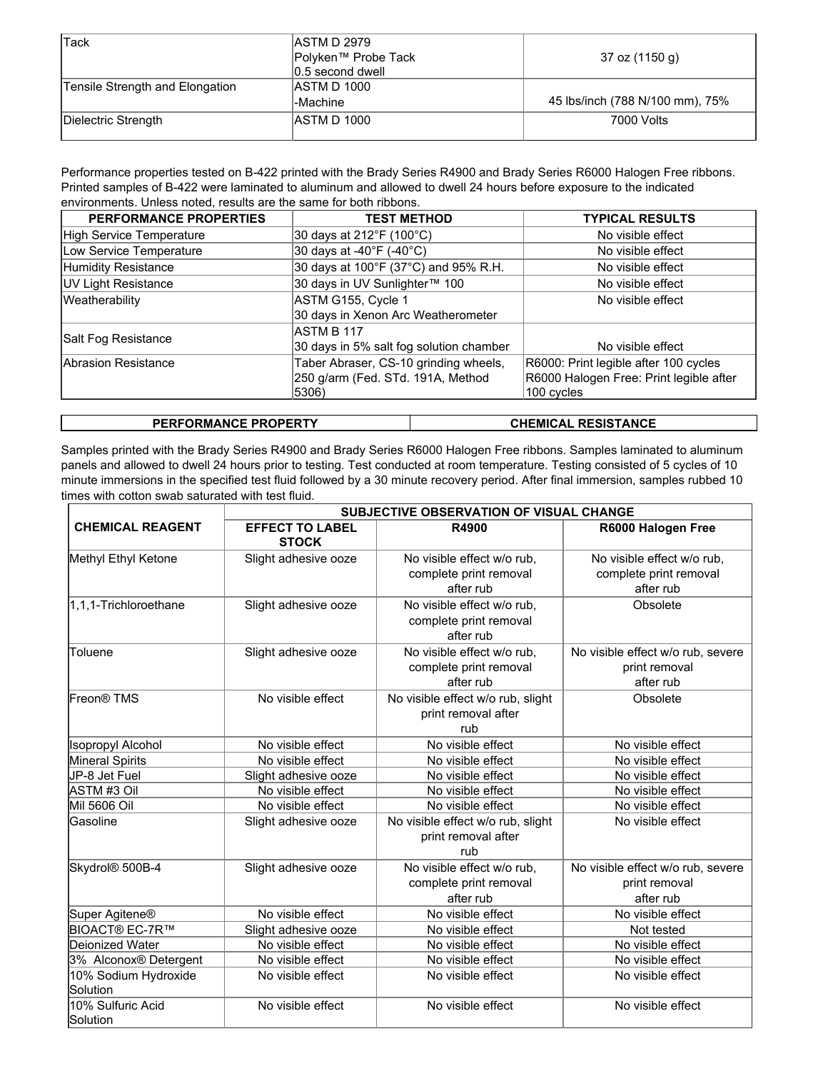| Tack                            | IASTM D 2979        |                                 |
|---------------------------------|---------------------|---------------------------------|
|                                 | Polyken™ Probe Tack | 37 oz (1150 g)                  |
|                                 | 0.5 second dwell    |                                 |
| Tensile Strength and Elongation | ASTM D 1000         |                                 |
|                                 | -Machine            | 45 lbs/inch (788 N/100 mm), 75% |
| Dielectric Strength             | ASTM D 1000         | 7000 Volts                      |
|                                 |                     |                                 |

Performance properties tested on B-422 printed with the Brady Series R4900 and Brady Series R6000 Halogen Free ribbons. Printed samples of B-422 were laminated to aluminum and allowed to dwell 24 hours before exposure to the indicated environments. Unless noted, results are the same for both ribbons.

| PERFORMANCE PROPERTIES     | <b>TEST METHOD</b>                      | <b>TYPICAL RESULTS</b>                  |  |
|----------------------------|-----------------------------------------|-----------------------------------------|--|
| High Service Temperature   | 30 days at 212°F (100°C)                | No visible effect                       |  |
| Low Service Temperature    | 30 days at -40°F (-40°C)                | No visible effect                       |  |
| Humidity Resistance        | 30 days at 100°F (37°C) and 95% R.H.    | No visible effect                       |  |
| <b>UV Light Resistance</b> | 30 days in UV Sunlighter™ 100           | No visible effect                       |  |
| Weatherability             | ASTM G155, Cycle 1                      | No visible effect                       |  |
|                            | 30 days in Xenon Arc Weatherometer      |                                         |  |
| Salt Fog Resistance        | ASTM B 117                              |                                         |  |
|                            | 30 days in 5% salt fog solution chamber | No visible effect                       |  |
| Abrasion Resistance        | Taber Abraser, CS-10 grinding wheels,   | R6000: Print legible after 100 cycles   |  |
|                            | 250 g/arm (Fed. STd. 191A, Method       | R6000 Halogen Free: Print legible after |  |
|                            | 5306)                                   | 100 cycles                              |  |

| <b>PERFORMANCE PROPERTY</b> | <b>CHEMICAL RESISTANCE</b> |
|-----------------------------|----------------------------|
|-----------------------------|----------------------------|

Samples printed with the Brady Series R4900 and Brady Series R6000 Halogen Free ribbons. Samples laminated to aluminum panels and allowed to dwell 24 hours prior to testing. Test conducted at room temperature. Testing consisted of 5 cycles of 10 minute immersions in the specified test fluid followed by a 30 minute recovery period. After final immersion, samples rubbed 10 times with cotton swab saturated with test fluid.

|                                  | <b>SUBJECTIVE OBSERVATION OF VISUAL CHANGE</b> |                                                                   |                                                                   |  |
|----------------------------------|------------------------------------------------|-------------------------------------------------------------------|-------------------------------------------------------------------|--|
| <b>CHEMICAL REAGENT</b>          | <b>EFFECT TO LABEL</b><br><b>STOCK</b>         | R4900                                                             | R6000 Halogen Free                                                |  |
| Methyl Ethyl Ketone              | Slight adhesive ooze                           | No visible effect w/o rub,<br>complete print removal<br>after rub | No visible effect w/o rub,<br>complete print removal<br>after rub |  |
| 1,1,1-Trichloroethane            | Slight adhesive ooze                           | No visible effect w/o rub,<br>complete print removal<br>after rub | Obsolete                                                          |  |
| Toluene                          | Slight adhesive ooze                           | No visible effect w/o rub,<br>complete print removal<br>after rub | No visible effect w/o rub, severe<br>print removal<br>after rub   |  |
| Freon <sup>®</sup> TMS           | No visible effect                              | No visible effect w/o rub, slight<br>print removal after<br>rub   | Obsolete                                                          |  |
| <b>Isopropyl Alcohol</b>         | No visible effect                              | No visible effect                                                 | No visible effect                                                 |  |
| Mineral Spirits                  | No visible effect                              | No visible effect                                                 | No visible effect                                                 |  |
| JP-8 Jet Fuel                    | Slight adhesive ooze                           | No visible effect                                                 | No visible effect                                                 |  |
| ASTM #3 Oil                      | No visible effect                              | No visible effect                                                 | No visible effect                                                 |  |
| Mil 5606 Oil                     | No visible effect                              | No visible effect                                                 | No visible effect                                                 |  |
| Gasoline                         | Slight adhesive ooze                           | No visible effect w/o rub, slight<br>print removal after<br>rub   | No visible effect                                                 |  |
| Skydrol® 500B-4                  | Slight adhesive ooze                           | No visible effect w/o rub,<br>complete print removal<br>after rub | No visible effect w/o rub, severe<br>print removal<br>after rub   |  |
| Super Agitene <sup>®</sup>       | No visible effect                              | No visible effect                                                 | No visible effect                                                 |  |
| <b>BIOACT® EC-7R™</b>            | Slight adhesive ooze                           | No visible effect                                                 | Not tested                                                        |  |
| Deionized Water                  | No visible effect                              | No visible effect                                                 | No visible effect                                                 |  |
| 3% Alconox® Detergent            | No visible effect                              | No visible effect                                                 | No visible effect                                                 |  |
| 10% Sodium Hydroxide<br>Solution | No visible effect                              | No visible effect                                                 | No visible effect                                                 |  |
| 10% Sulfuric Acid<br>Solution    | No visible effect                              | No visible effect                                                 | No visible effect                                                 |  |